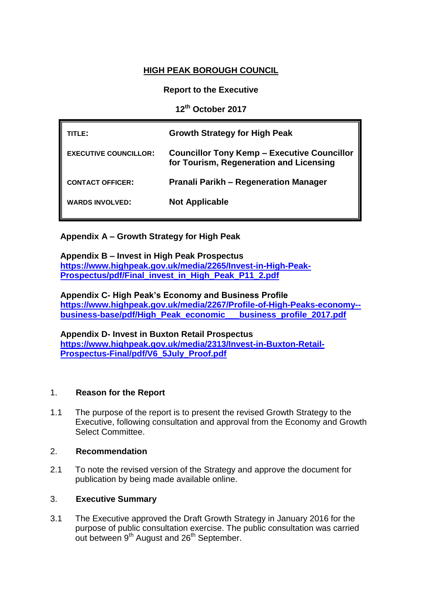# **HIGH PEAK BOROUGH COUNCIL**

## **Report to the Executive**

**12th October 2017**

| TITL F :                     | <b>Growth Strategy for High Peak</b>                                                          |  |
|------------------------------|-----------------------------------------------------------------------------------------------|--|
| <b>EXECUTIVE COUNCILLOR:</b> | <b>Councillor Tony Kemp - Executive Councillor</b><br>for Tourism, Regeneration and Licensing |  |
| <b>CONTACT OFFICER:</b>      | <b>Pranali Parikh – Regeneration Manager</b>                                                  |  |
| <b>WARDS INVOLVED:</b>       | <b>Not Applicable</b>                                                                         |  |

**Appendix A – Growth Strategy for High Peak**

**Appendix B – Invest in High Peak Prospectus [https://www.highpeak.gov.uk/media/2265/Invest-in-High-Peak-](https://www.highpeak.gov.uk/media/2265/Invest-in-High-Peak-Prospectus/pdf/Final_invest_in_High_Peak_P11_2.pdf)[Prospectus/pdf/Final\\_invest\\_in\\_High\\_Peak\\_P11\\_2.pdf](https://www.highpeak.gov.uk/media/2265/Invest-in-High-Peak-Prospectus/pdf/Final_invest_in_High_Peak_P11_2.pdf)**

**Appendix C- High Peak's Economy and Business Profile [https://www.highpeak.gov.uk/media/2267/Profile-of-High-Peaks-economy-](https://www.highpeak.gov.uk/media/2267/Profile-of-High-Peaks-economy--business-base/pdf/High_Peak_economic___business_profile_2017.pdf) [business-base/pdf/High\\_Peak\\_economic\\_\\_\\_business\\_profile\\_2017.pdf](https://www.highpeak.gov.uk/media/2267/Profile-of-High-Peaks-economy--business-base/pdf/High_Peak_economic___business_profile_2017.pdf)**

**Appendix D- Invest in Buxton Retail Prospectus [https://www.highpeak.gov.uk/media/2313/Invest-in-Buxton-Retail-](https://www.highpeak.gov.uk/media/2313/Invest-in-Buxton-Retail-Prospectus-Final/pdf/V6_5July_Proof.pdf)[Prospectus-Final/pdf/V6\\_5July\\_Proof.pdf](https://www.highpeak.gov.uk/media/2313/Invest-in-Buxton-Retail-Prospectus-Final/pdf/V6_5July_Proof.pdf)**

### 1. **Reason for the Report**

1.1 The purpose of the report is to present the revised Growth Strategy to the Executive, following consultation and approval from the Economy and Growth Select Committee.

### 2. **Recommendation**

2.1 To note the revised version of the Strategy and approve the document for publication by being made available online.

### 3. **Executive Summary**

3.1 The Executive approved the Draft Growth Strategy in January 2016 for the purpose of public consultation exercise. The public consultation was carried out between 9<sup>th</sup> August and 26<sup>th</sup> September.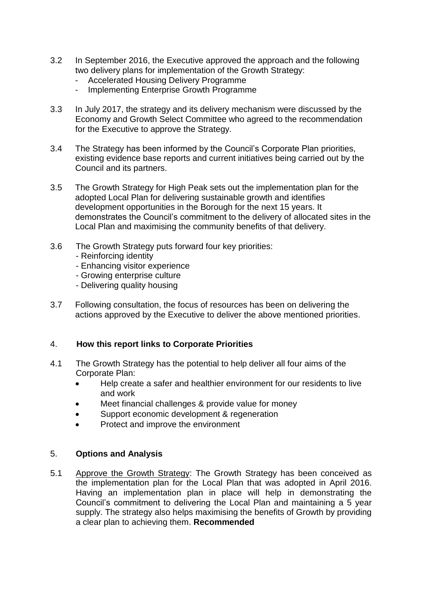- 3.2 In September 2016, the Executive approved the approach and the following two delivery plans for implementation of the Growth Strategy:
	- Accelerated Housing Delivery Programme
	- Implementing Enterprise Growth Programme
- 3.3 In July 2017, the strategy and its delivery mechanism were discussed by the Economy and Growth Select Committee who agreed to the recommendation for the Executive to approve the Strategy.
- 3.4 The Strategy has been informed by the Council's Corporate Plan priorities, existing evidence base reports and current initiatives being carried out by the Council and its partners.
- 3.5 The Growth Strategy for High Peak sets out the implementation plan for the adopted Local Plan for delivering sustainable growth and identifies development opportunities in the Borough for the next 15 years. It demonstrates the Council's commitment to the delivery of allocated sites in the Local Plan and maximising the community benefits of that delivery.
- 3.6 The Growth Strategy puts forward four key priorities:
	- Reinforcing identity
	- Enhancing visitor experience
	- Growing enterprise culture
	- Delivering quality housing
- 3.7 Following consultation, the focus of resources has been on delivering the actions approved by the Executive to deliver the above mentioned priorities.

### 4. **How this report links to Corporate Priorities**

- 4.1 The Growth Strategy has the potential to help deliver all four aims of the Corporate Plan:
	- Help create a safer and healthier environment for our residents to live and work
	- Meet financial challenges & provide value for money
	- Support economic development & regeneration
	- Protect and improve the environment

#### 5. **Options and Analysis**

5.1 Approve the Growth Strategy: The Growth Strategy has been conceived as the implementation plan for the Local Plan that was adopted in April 2016. Having an implementation plan in place will help in demonstrating the Council's commitment to delivering the Local Plan and maintaining a 5 year supply. The strategy also helps maximising the benefits of Growth by providing a clear plan to achieving them. **Recommended**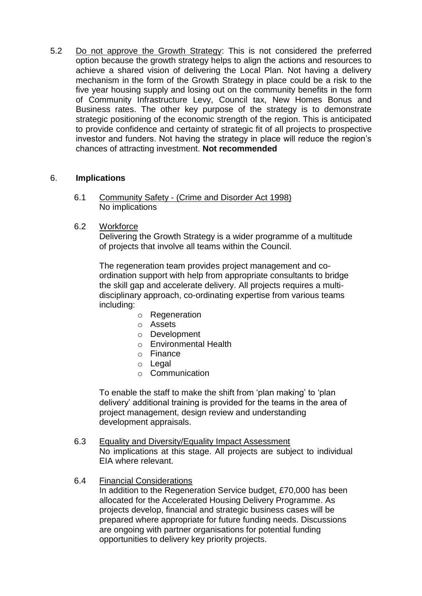5.2 Do not approve the Growth Strategy: This is not considered the preferred option because the growth strategy helps to align the actions and resources to achieve a shared vision of delivering the Local Plan. Not having a delivery mechanism in the form of the Growth Strategy in place could be a risk to the five year housing supply and losing out on the community benefits in the form of Community Infrastructure Levy, Council tax, New Homes Bonus and Business rates. The other key purpose of the strategy is to demonstrate strategic positioning of the economic strength of the region. This is anticipated to provide confidence and certainty of strategic fit of all projects to prospective investor and funders. Not having the strategy in place will reduce the region's chances of attracting investment. **Not recommended**

### 6. **Implications**

- 6.1 Community Safety (Crime and Disorder Act 1998) No implications
- 6.2 Workforce

Delivering the Growth Strategy is a wider programme of a multitude of projects that involve all teams within the Council.

The regeneration team provides project management and coordination support with help from appropriate consultants to bridge the skill gap and accelerate delivery. All projects requires a multidisciplinary approach, co-ordinating expertise from various teams including:

- o Regeneration
- o Assets
- o Development
- o Environmental Health
- o Finance
- o Legal
- o Communication

To enable the staff to make the shift from 'plan making' to 'plan delivery' additional training is provided for the teams in the area of project management, design review and understanding development appraisals.

- 6.3 Equality and Diversity/Equality Impact Assessment No implications at this stage. All projects are subject to individual EIA where relevant.
- 6.4 Financial Considerations

In addition to the Regeneration Service budget, £70,000 has been allocated for the Accelerated Housing Delivery Programme. As projects develop, financial and strategic business cases will be prepared where appropriate for future funding needs. Discussions are ongoing with partner organisations for potential funding opportunities to delivery key priority projects.